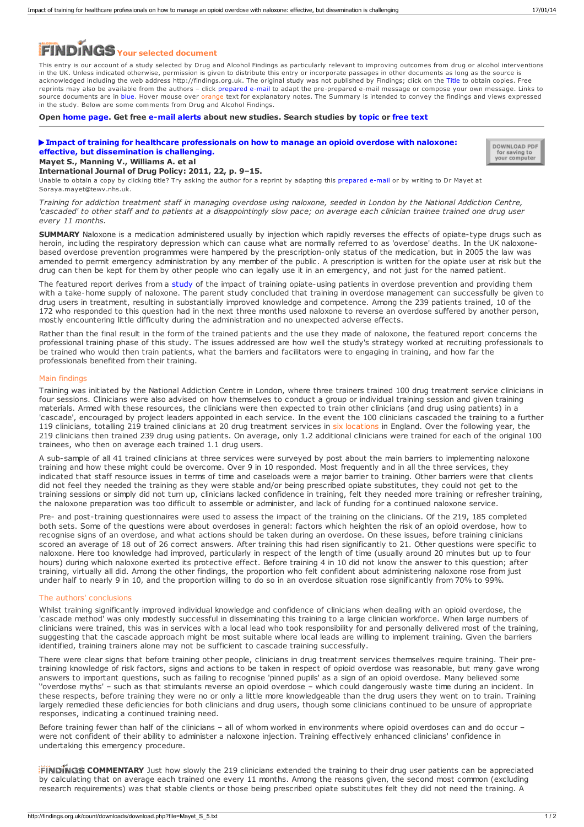# **Your selected document**

This entry is our account of a study selected by Drug and Alcohol Findings as particularly relevant to improving outcomes from drug or alcohol interventions in the UK. Unless indicated otherwise, permission is given to distribute this entry or incorporate passages in other documents as long as the source is acknowledged including the web address http://findings.org.uk. The original study was not published by Findings; click on the Title to obtain copies. Free reprints may also be available from the authors – click prepared e-mail to adapt the pre-prepared e-mail message or compose your own message. Links to source documents are in blue. Hover mouse over orange text for explanatory notes. The Summary is intended to convey the findings and views expressed in the study. Below are some comments from Drug and Alcohol Findings.

**Open [home](https://findings.org.uk/index.php) page. Get free [e-mail](https://findings.org.uk/index.php#signUp) alerts about new studies. Search studies by [topic](https://findings.org.uk/topic_search.htm) or [free](https://findings.org.uk/free_search.htm) text**

# **Impact of training for healthcare [professionals](http://dx.doi.org/10.1016/j.drugpo.2010.09.008) on how to manage an opioid overdose with naloxone: effective, but dissemination is challenging.**



### **Mayet S., Manning V., Williams A. et al International Journal of Drug Policy: 2011, 22, p. 9–15.**

Unable to obtain a copy by clicking title? Try asking the author for a reprint by adapting this [prepared](mailto:Soraya.mayet@tewv.nhs.uk?Subject=Reprint request&body=Dear Dr Mayet%0A%0AOn the Drug and Alcohol Findings web site (https://findings.org.uk) I read about your article:%0AMayet S., Manning V., Williams A. et al Impact of training for healthcare professionals on how to manage an opioid overdose with naloxone: effective, but dissemination is challenging. International Journal of Drug Policy: 2011, 22, p. 9-15.%0A%0AWould it be possible to for me to be sent a PDF reprint or the manuscript by replying to this e-mail?%0A) e-mail or by writing to Dr Mayet at Soraya.mayet@tewv.nhs.uk.

Training for addiction treatment staff in managing overdose using naloxone, seeded in London by the National Addiction Centre, 'cascaded' to other staff and to patients at a disappointingly slow pace; on average each clinician trainee trained one drug user *every 11 months.*

**SUMMARY** Naloxone is a medication administered usually by injection which rapidly reverses the effects of opiate-type drugs such as heroin, including the respiratory depression which can cause what are normally referred to as 'overdose' deaths. In the UK naloxonebased overdose prevention programmes were hampered by the prescription-only status of the medication, but in 2005 the law was amended to permit emergency administration by any member of the public. A prescription is written for the opiate user at risk but the drug can then be kept for them by other people who can legally use it in an emergency, and not just for the named patient.

The featured report derives from a [study](https://findings.org.uk/count/downloads/download.php?file=Strang_J_17.txt) of the impact of training opiate-using patients in overdose prevention and providing them with a take-home supply of naloxone. The parent study concluded that training in overdose management can successfully be given to drug users in treatment, resulting in substantially improved knowledge and competence. Among the 239 patients trained, 10 of the 172 who responded to this question had in the next three months used naloxone to reverse an overdose suffered by another person, mostly encountering little difficulty during the administration and no unexpected adverse eff

Rather than the final result in the form of the trained patients and the use they made of naloxone, the featured report concerns the professional training phase of this study. The issues addressed are how well the study's strategy worked at recruiting professionals to be trained who would then train patients, what the barriers and facilitators were to engaging in training, and how far the professionals benefited from their training.

## Main findings

Training was initiated by the National Addiction Centre in London, where three trainers trained 100 drug treatment service clinicians in four sessions. Clinicians were also advised on how themselves to conduct a group or individual training session and given training<br>materials. Armed with these resources, the clinicians were then expected to train other cli 'cascade', encouraged by project leaders appointed in each service. In the event the 100 clinicians cascaded the training to a further 119 clinicians, totalling 219 trained clinicians at 20 drug treatment services in six locations in England. Over the following year, the 219 clinicians then trained 239 drug using patients. On average, only 1.2 additional clinicians were trained for each of the original 100 trainees, who then on average each trained 1.1 drug users.

A sub-sample of all 41 trained clinicians at three services were surveyed by post about the main barriers to implementing naloxone training and how these might could be overcome. Over 9 in 10 responded. Most frequently and in all the three services, they indicated that staff resource issues in terms of time and caseloads were a major barrier to training. Other barriers were that clients did not feel they needed the training as they were stable and/or being prescribed opiate substitutes, they could not get to the training sessions or simply did not turn up, clinicians lacked confidence in training, felt they needed more training or refresher training, the naloxone preparation was too difficult to assemble or administer, and lack of funding for a continued naloxone service.

Pre- and post-training questionnaires were used to assess the impact of the training on the clinicians. Of the 219, 185 completed both sets. Some of the questions were about overdoses in general: factors which heighten the risk of an opioid overdose, how to recognise signs of an overdose, and what actions should be taken during an overdose. On these issues, before training clinicians scored an average of 18 out of 26 correct answers. After training this had risen significantly to 21. Other questions were specific to naloxone. Here too knowledge had improved, particularly in respect of the length of time (usually around 20 minutes but up to four hours) during which naloxone exerted its protective effect. Before training 4 in 10 did not know the answer to this question; after training, virtually all did. Among the other findings, the proportion who felt confident about administering naloxone rose from just under half to nearly 9 in 10, and the proportion willing to do so in an overdose situation rose significantly from 70% to 99%.

# The authors' conclusions

Whilst training significantly improved individual knowledge and confidence of clinicians when dealing with an opioid overdose, the 'cascade method' was only modestly successful in disseminating this training to a large clinician workforce. When large numbers of clinicians were trained, this was in services with a local lead who took responsibility for and personally delivered most of the training, suggesting that the cascade approach might be most suitable where local leads are willing to implement training. Given the barriers identified, training trainers alone may not be sufficient to cascade training successfully.

There were clear signs that before training other people, clinicians in drug treatment services themselves require training. Their pretraining knowledge of risk factors, signs and actions to be taken in respect of opioid overdose was reasonable, but many gave wrong answers to important questions, such as failing to recognise 'pinned pupils' as a sign of an opioid overdose. Many believed some ''overdose myths' – such as that stimulants reverse an opioid overdose – which could dangerously waste time during an incident. In these respects, before training they were no or only a little more knowledgeable than the drug users they went on to train. Training largely remedied these deficiencies for both clinicians and drug users, though some clinicians continued to be unsure of appropriate responses, indicating a continued training need.

Before training fewer than half of the clinicians – all of whom worked in environments where opioid overdoses can and do occur – were not confident of their ability to administer a naloxone injection. Training effectively enhanced clinicians' confidence in undertaking this emergency procedure.

**FINDINGS COMMENTARY** Just how slowly the 219 clinicians extended the training to their drug user patients can be appreciated by calculating that on average each trained one every 11 months. Among the reasons given, the second most common (excluding research requirements) was that stable clients or those being prescribed opiate substitutes felt they did not need the training. A